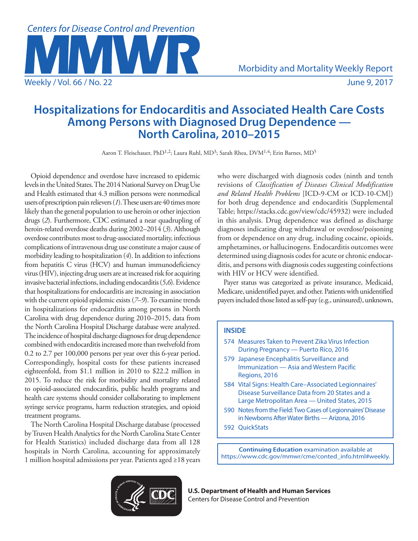

# **Hospitalizations for Endocarditis and Associated Health Care Costs Among Persons with Diagnosed Drug Dependence — North Carolina, 2010–2015**

Aaron T. Fleischauer, PhD<sup>1,2</sup>; Laura Ruhl, MD<sup>3</sup>; Sarah Rhea, DVM<sup>1,4</sup>; Erin Barnes, MD<sup>5</sup>

Opioid dependence and overdose have increased to epidemic levels in the United States. The 2014 National Survey on Drug Use and Health estimated that 4.3 million persons were nonmedical users of prescription pain relievers (*1*). These users are 40 times more likely than the general population to use heroin or other injection drugs (*2*). Furthermore, CDC estimated a near quadrupling of heroin-related overdose deaths during 2002–2014 (*3*). Although overdose contributes most to drug-associated mortality, infectious complications of intravenous drug use constitute a major cause of morbidity leading to hospitalization (*4*). In addition to infections from hepatitis C virus (HCV) and human immunodeficiency virus (HIV), injecting drug users are at increased risk for acquiring invasive bacterial infections, including endocarditis (*5*,*6*). Evidence that hospitalizations for endocarditis are increasing in association with the current opioid epidemic exists (*7*–*9*). To examine trends in hospitalizations for endocarditis among persons in North Carolina with drug dependence during 2010–2015, data from the North Carolina Hospital Discharge database were analyzed. The incidence of hospital discharge diagnoses for drug dependence combined with endocarditis increased more than twelvefold from 0.2 to 2.7 per 100,000 persons per year over this 6-year period. Correspondingly, hospital costs for these patients increased eighteenfold, from \$1.1 million in 2010 to \$22.2 million in 2015. To reduce the risk for morbidity and mortality related to opioid-associated endocarditis, public health programs and health care systems should consider collaborating to implement syringe service programs, harm reduction strategies, and opioid treatment programs.

The North Carolina Hospital Discharge database (processed by Truven Health Analytics for the North Carolina State Center for Health Statistics) included discharge data from all 128 hospitals in North Carolina, accounting for approximately 1 million hospital admissions per year. Patients aged ≥18 years

who were discharged with diagnosis codes (ninth and tenth revisions of *Classification of Diseases Clinical Modification and Related Health Problems* [ICD-9-CM or ICD-10-CM]) for both drug dependence and endocarditis (Supplemental Table;<https://stacks.cdc.gov/view/cdc/45932>) were included in this analysis. Drug dependence was defined as discharge diagnoses indicating drug withdrawal or overdose/poisoning from or dependence on any drug, including cocaine, opioids, amphetamines, or hallucinogens. Endocarditis outcomes were determined using diagnosis codes for acute or chronic endocarditis, and persons with diagnosis codes suggesting coinfections with HIV or HCV were identified.

Payer status was categorized as private insurance, Medicaid, Medicare, unidentified payer, and other. Patients with unidentified payers included those listed as self-pay (e.g., uninsured), unknown,

# **INSIDE**

- 574 Measures Taken to Prevent Zika Virus Infection During Pregnancy — Puerto Rico, 2016
- 579 Japanese Encephalitis Surveillance and Immunization — Asia and Western Pacific Regions, 2016
- 584 Vital Signs: Health Care–Associated Legionnaires' Disease Surveillance Data from 20 States and a Large Metropolitan Area — United States, 2015
- 590 Notes from the Field: Two Cases of Legionnaires' Disease in Newborns After Water Births — Arizona, 2016
- 592 QuickStats

**Continuing Education** examination available at [https://www.cdc.gov/mmwr/cme/conted\\_info.html#weekly.](https://www.cdc.gov/mmwr/cme/conted_info.html#weekly.) 



**U.S. Department of Health and Human Services** Centers for Disease Control and Prevention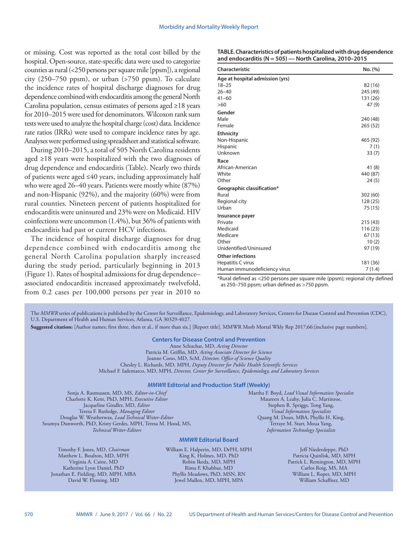or missing. Cost was reported as the total cost billed by the hospital. Open-source, state-specific data were used to categorize counties as rural (<250 persons per square mile [ppsm]), a regional city (250–750 ppsm), or urban (>750 ppsm). To calculate the incidence rates of hospital discharge diagnoses for drug dependence combined with endocarditis among the general North Carolina population, census estimates of persons aged ≥18 years for 2010–2015 were used for denominators. Wilcoxon rank sum tests were used to analyze the hospital charge (cost) data. Incidence rate ratios (IRRs) were used to compare incidence rates by age. Analyses were performed using spreadsheet and statistical software.

During 2010–2015, a total of 505 North Carolina residents aged ≥18 years were hospitalized with the two diagnoses of drug dependence and endocarditis [\(Table\)](#page-1-0). Nearly two thirds of patients were aged ≤40 years, including approximately half who were aged 26–40 years. Patients were mostly white (87%) and non-Hispanic (92%), and the majority (60%) were from rural counties. Nineteen percent of patients hospitalized for endocarditis were uninsured and 23% were on Medicaid. HIV coinfections were uncommon (1.4%), but 36% of patients with endocarditis had past or current HCV infections.

The incidence of hospital discharge diagnoses for drug dependence combined with endocarditis among the general North Carolina population sharply increased during the study period, particularly beginning in 2013 ([Figure 1\)](#page-2-0). Rates of hospital admissions for drug dependence– associated endocarditis increased approximately twelvefold, from 0.2 cases per 100,000 persons per year in 2010 to

<span id="page-1-0"></span>

| TABLE. Characteristics of patients hospitalized with drug dependence |
|----------------------------------------------------------------------|
| and endocarditis (N = 505) — North Carolina, 2010–2015               |

| Characteristic                  | No. (%)  |  |
|---------------------------------|----------|--|
| Age at hospital admission (yrs) |          |  |
| $18 - 25$                       | 82 (16)  |  |
| $26 - 40$                       | 245 (49) |  |
| $41 - 60$                       | 131 (26) |  |
| >60                             | 47(9)    |  |
| Gender                          |          |  |
| Male                            | 240 (48) |  |
| Female                          | 265(52)  |  |
| <b>Ethnicity</b>                |          |  |
| Non-Hispanic                    | 465 (92) |  |
| Hispanic                        | 7(1)     |  |
| Unknown                         | 33(7)    |  |
| Race                            |          |  |
| African-American                | 41 (8)   |  |
| White                           | 440 (87) |  |
| Other                           | 24(5)    |  |
| Geographic classification*      |          |  |
| Rural                           | 302 (60) |  |
| Regional city                   | 128 (25) |  |
| Urban                           | 75 (15)  |  |
| Insurance payer                 |          |  |
| Private                         | 215 (43) |  |
| Medicaid                        | 116 (23) |  |
| Medicare                        | 67(13)   |  |
| Other                           | 10(2)    |  |
| Unidentified/Uninsured          | 97 (19)  |  |
| <b>Other infections</b>         |          |  |
| Hepatitis C virus               | 181 (36) |  |
| Human immunodeficiency virus    | 7(1.4)   |  |

\*Rural defined as <250 persons per square mile (ppsm); regional city defined as 250–750 ppsm; urban defined as >750 ppsm.

The *MMWR* series of publications is published by the Center for Surveillance, Epidemiology, and Laboratory Services, Centers for Disease Control and Prevention (CDC), U.S. Department of Health and Human Services, Atlanta, GA 30329-4027.

**Suggested citation:** [Author names; first three, then et al., if more than six.] [Report title]. MMWR Morb Mortal Wkly Rep 2017;66:[inclusive page numbers].

## **Centers for Disease Control and Prevention**

Anne Schuchat, MD, *Acting Director* Patricia M. Griffin, MD, *Acting Associate Director for Science* Joanne Cono, MD, ScM, *Director, Office of Science Quality*  Chesley L. Richards, MD, MPH, *Deputy Director for Public Health Scientific Services* Michael F. Iademarco, MD, MPH, *Director, Center for Surveillance, Epidemiology, and Laboratory Services*

#### *MMWR* **Editorial and Production Staff (Weekly)**

Sonja A. Rasmussen, MD, MS, *Editor-in-Chief* Charlotte K. Kent, PhD, MPH, *Executive Editor* Jacqueline Gindler, MD, *Editor* Teresa F. Rutledge, *Managing Editor* Douglas W. Weatherwax, *Lead Technical Writer-Editor* Soumya Dunworth, PhD, Kristy Gerdes, MPH, Teresa M. Hood, MS, *Technical Writer-Editors*

Martha F. Boyd, *Lead Visual Information Specialist* Maureen A. Leahy, Julia C. Martinroe, Stephen R. Spriggs, Tong Yang, *Visual Information Specialists* Quang M. Doan, MBA, Phyllis H. King, Terraye M. Starr, Moua Yang, *Information Technology Specialists*

## *MMWR* **Editorial Board**

Timothy F. Jones, MD, *Chairman* Matthew L. Boulton, MD, MPH Virginia A. Caine, MD Katherine Lyon Daniel, PhD Jonathan E. Fielding, MD, MPH, MBA David W. Fleming, MD

William E. Halperin, MD, DrPH, MPH King K. Holmes, MD, PhD Robin Ikeda, MD, MPH Rima F. Khabbaz, MD Phyllis Meadows, PhD, MSN, RN Jewel Mullen, MD, MPH, MPA

Jeff Niederdeppe, PhD Patricia Quinlisk, MD, MPH Patrick L. Remington, MD, MPH Carlos Roig, MS, MA William L. Roper, MD, MPH William Schaffner, MD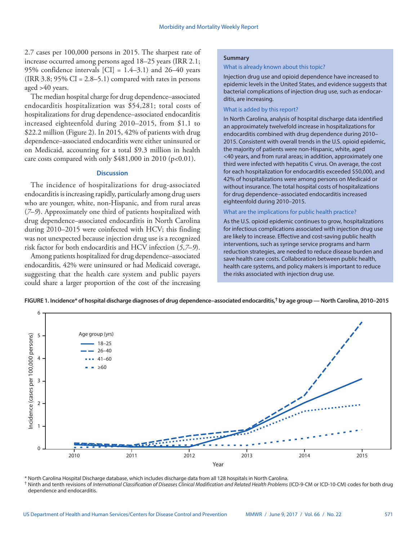2.7 cases per 100,000 persons in 2015. The sharpest rate of increase occurred among persons aged 18–25 years (IRR 2.1; 95% confidence intervals  $\text{[CI]} = 1.4 - 3.1$  and 26-40 years (IRR 3.8;  $95\%$  CI = 2.8–5.1) compared with rates in persons aged >40 years.

The median hospital charge for drug dependence–associated endocarditis hospitalization was \$54,281; total costs of hospitalizations for drug dependence–associated endocarditis increased eighteenfold during 2010–2015, from \$1.1 to \$22.2 million [\(Figure 2\)](#page-3-0). In 2015, 42% of patients with drug dependence–associated endocarditis were either uninsured or on Medicaid, accounting for a total \$9.3 million in health care costs compared with only  $$481,000$  in 2010 (p<0.01).

## **Discussion**

The incidence of hospitalizations for drug-associated endocarditis is increasing rapidly, particularly among drug users who are younger, white, non-Hispanic, and from rural areas (*7*–*9*). Approximately one third of patients hospitalized with drug dependence–associated endocarditis in North Carolina during 2010–2015 were coinfected with HCV; this finding was not unexpected because injection drug use is a recognized risk factor for both endocarditis and HCV infection (*5*,*7*–*9*).

Among patients hospitalized for drug dependence–associated endocarditis, 42% were uninsured or had Medicaid coverage, suggesting that the health care system and public payers could share a larger proportion of the cost of the increasing

### **Summary**

#### What is already known about this topic?

Injection drug use and opioid dependence have increased to epidemic levels in the United States, and evidence suggests that bacterial complications of injection drug use, such as endocarditis, are increasing.

### What is added by this report?

In North Carolina, analysis of hospital discharge data identified an approximately twelvefold increase in hospitalizations for endocarditis combined with drug dependence during 2010– 2015. Consistent with overall trends in the U.S. opioid epidemic, the majority of patients were non-Hispanic, white, aged <40 years, and from rural areas; in addition, approximately one third were infected with hepatitis C virus. On average, the cost for each hospitalization for endocarditis exceeded \$50,000, and 42% of hospitalizations were among persons on Medicaid or without insurance. The total hospital costs of hospitalizations for drug dependence–associated endocarditis increased eighteenfold during 2010–2015.

#### What are the implications for public health practice?

As the U.S. opioid epidemic continues to grow, hospitalizations for infectious complications associated with injection drug use are likely to increase. Effective and cost-saving public health interventions, such as syringe service programs and harm reduction strategies, are needed to reduce disease burden and save health care costs. Collaboration between public health, health care systems, and policy makers is important to reduce the risks associated with injection drug use.

<span id="page-2-0"></span>



\* North Carolina Hospital Discharge database, which includes discharge data from all 128 hospitals in North Carolina.

† Ninth and tenth revisions of *International Classification of Diseases Clinical Modification and Related Health Problems* (ICD-9-CM or ICD-10-CM) codes for both drug dependence and endocarditis.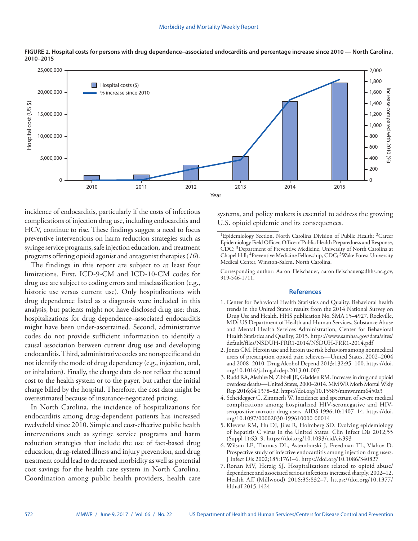

<span id="page-3-0"></span>**FIGURE 2. Hospital costs for persons with drug dependence–associated endocarditis and percentage increase since 2010 — North Carolina, 2010–2015**

incidence of endocarditis, particularly if the costs of infectious complications of injection drug use, including endocarditis and HCV, continue to rise. These findings suggest a need to focus preventive interventions on harm reduction strategies such as syringe service programs, safe injection education, and treatment programs offering opioid agonist and antagonist therapies (*10*).

The findings in this report are subject to at least four limitations. First, ICD-9-CM and ICD-10-CM codes for drug use are subject to coding errors and misclassification (e.g., historic use versus current use). Only hospitalizations with drug dependence listed as a diagnosis were included in this analysis, but patients might not have disclosed drug use; thus, hospitalizations for drug dependence–associated endocarditis might have been under-ascertained. Second, administrative codes do not provide sufficient information to identify a causal association between current drug use and developing endocarditis. Third, administrative codes are nonspecific and do not identify the mode of drug dependency (e.g., injection, oral, or inhalation). Finally, the charge data do not reflect the actual cost to the health system or to the payer, but rather the initial charge billed by the hospital. Therefore, the cost data might be overestimated because of insurance-negotiated pricing.

In North Carolina, the incidence of hospitalizations for endocarditis among drug-dependent patients has increased twelvefold since 2010. Simple and cost-effective public health interventions such as syringe service programs and harm reduction strategies that include the use of fact-based drug education, drug-related illness and injury prevention, and drug treatment could lead to decreased morbidity as well as potential cost savings for the health care system in North Carolina. Coordination among public health providers, health care

systems, and policy makers is essential to address the growing U.S. opioid epidemic and its consequences.

Corresponding author: Aaron Fleischauer, [aaron.fleischauer@dhhs.nc.gov,](mailto:aaron.fleischauer@dhhs.nc.gov) 919-546-1711.

## **References**

- 1. Center for Behavioral Health Statistics and Quality. Behavioral health trends in the United States: results from the 2014 National Survey on Drug Use and Health. HHS publication No. SMA 15–4927. Rockville, MD: US Department of Health and Human Services, Substance Abuse and Mental Health Services Administration, Center for Behavioral Health Statistics and Quality; 2015. [https://www.samhsa.gov/data/sites/](https://www.samhsa.gov/data/sites/default/files/NSDUH-FRR1-2014/NSDUH-FRR1-2014.pdf) [default/files/NSDUH-FRR1-2014/NSDUH-FRR1-2014.pdf](https://www.samhsa.gov/data/sites/default/files/NSDUH-FRR1-2014/NSDUH-FRR1-2014.pdf)
- 2. Jones CM. Heroin use and heroin use risk behaviors among nonmedical users of prescription opioid pain relievers—United States, 2002–2004 and 2008–2010. Drug Alcohol Depend 2013;132:95–100. [https://doi.](https://doi.org/10.1016/j.drugalcdep.2013.01.007) [org/10.1016/j.drugalcdep.2013.01.007](https://doi.org/10.1016/j.drugalcdep.2013.01.007)
- 3. Rudd RA, Aleshire N, Zibbell JE, Gladden RM. Increases in drug and opioid overdose deaths—United States, 2000–2014. MMWR Morb Mortal Wkly Rep 2016;64:1378–82.<https://doi.org/10.15585/mmwr.mm6450a3>
- 4. Scheidegger C, Zimmerli W. Incidence and spectrum of severe medical complications among hospitalized HIV-seronegative and HIVseropositive narcotic drug users. AIDS 1996;10:1407-14. [https://doi.](https://doi.org/10.1097/00002030-199610000-00014) [org/10.1097/00002030-199610000-00014](https://doi.org/10.1097/00002030-199610000-00014)
- 5. Klevens RM, Hu DJ, Jiles R, Holmberg SD. Evolving epidemiology of hepatitis C virus in the United States. Clin Infect Dis 2012;55 (Suppl 1):S3–9. <https://doi.org/10.1093/cid/cis393>
- 6. Wilson LE, Thomas DL, Astemborski J, Freedman TL, Vlahov D. Prospective study of infective endocarditis among injection drug users. J Infect Dis 2002;185:1761–6. <https://doi.org/10.1086/340827>
- 7. Ronan MV, Herzig SJ. Hospitalizations related to opioid abuse/ dependence and associated serious infections increased sharply, 2002–12. Health Aff (Millwood) 2016;35:832–7. [https://doi.org/10.1377/](https://doi.org/10.1377/hlthaff.2015.1424) [hlthaff.2015.1424](https://doi.org/10.1377/hlthaff.2015.1424)

<sup>&</sup>lt;sup>1</sup>Epidemiology Section, North Carolina Division of Public Health; <sup>2</sup>Career Epidemiology Field Officer, Office of Public Health Preparedness and Response, CDC; 3Department of Preventive Medicine, University of North Carolina at Chapel Hill; <sup>4</sup>Preventive Medicine Fellowship, CDC; <sup>5</sup>Wake Forest University Medical Center, Winston-Salem, North Carolina.